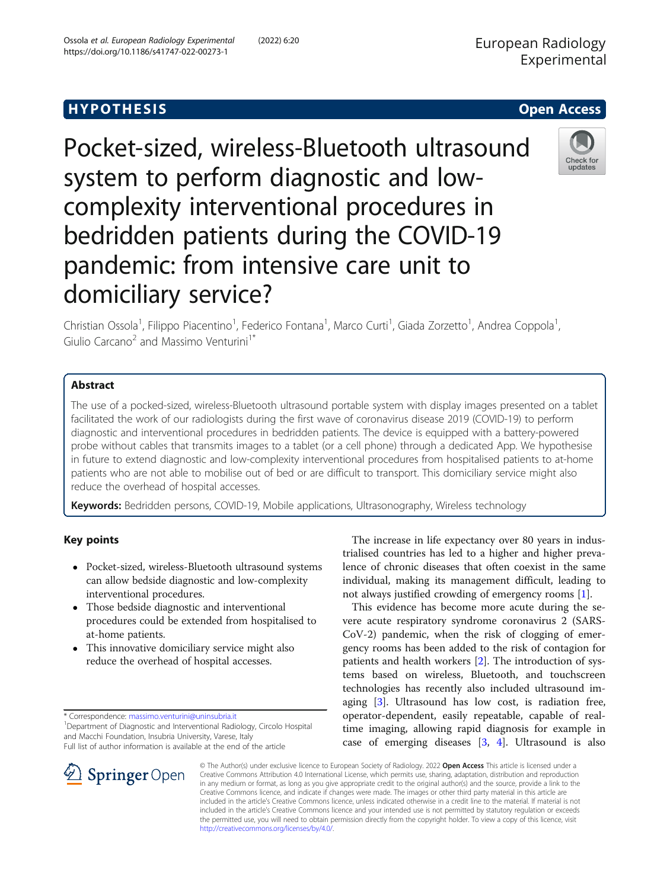# Hypothesis in the signal control of the signal control of the signal control of the signal control of the signal control of the signal control of the signal control of the signal control of the signal control of the signal

Pocket-sized, wireless-Bluetooth ultrasound system to perform diagnostic and lowcomplexity interventional procedures in bedridden patients during the COVID-19 pandemic: from intensive care unit to domiciliary service?

Christian Ossola<sup>1</sup>, Filippo Piacentino<sup>1</sup>, Federico Fontana<sup>1</sup>, Marco Curti<sup>1</sup>, Giada Zorzetto<sup>1</sup>, Andrea Coppola<sup>1</sup> , Giulio Carcano<sup>2</sup> and Massimo Venturini<sup>1\*</sup>

The use of a pocked-sized, wireless-Bluetooth ultrasound portable system with display images presented on a tablet facilitated the work of our radiologists during the first wave of coronavirus disease 2019 (COVID-19) to perform diagnostic and interventional procedures in bedridden patients. The device is equipped with a battery-powered probe without cables that transmits images to a tablet (or a cell phone) through a dedicated App. We hypothesise in future to extend diagnostic and low-complexity interventional procedures from hospitalised patients to at-home patients who are not able to mobilise out of bed or are difficult to transport. This domiciliary service might also reduce the overhead of hospital accesses.

Keywords: Bedridden persons, COVID-19, Mobile applications, Ultrasonography, Wireless technology

# Key points

- Pocket-sized, wireless-Bluetooth ultrasound systems can allow bedside diagnostic and low-complexity interventional procedures.
- Those bedside diagnostic and interventional procedures could be extended from hospitalised to at-home patients.
- This innovative domiciliary service might also reduce the overhead of hospital accesses.

\* Correspondence: [massimo.venturini@uninsubria.it](mailto:massimo.venturini@uninsubria.it) <sup>1</sup>

© The Author(s) under exclusive licence to European Society of Radiology. 2022 Open Access This article is licensed under a Creative Commons Attribution 4.0 International License, which permits use, sharing, adaptation, distribution and reproduction in any medium or format, as long as you give appropriate credit to the original author(s) and the source, provide a link to the Creative Commons licence, and indicate if changes were made. The images or other third party material in this article are included in the article's Creative Commons licence, unless indicated otherwise in a credit line to the material. If material is not included in the article's Creative Commons licence and your intended use is not permitted by statutory regulation or exceeds the permitted use, you will need to obtain permission directly from the copyright holder. To view a copy of this licence, visit [http://creativecommons.org/licenses/by/4.0/.](http://creativecommons.org/licenses/by/4.0/)

The increase in life expectancy over 80 years in industrialised countries has led to a higher and higher prevalence of chronic diseases that often coexist in the same individual, making its management difficult, leading to not always justified crowding of emergency rooms [[1\]](#page-3-0). This evidence has become more acute during the severe acute respiratory syndrome coronavirus 2 (SARS-CoV-2) pandemic, when the risk of clogging of emergency rooms has been added to the risk of contagion for patients and health workers [\[2\]](#page-3-0). The introduction of systems based on wireless, Bluetooth, and touchscreen technologies has recently also included ultrasound imaging [\[3](#page-3-0)]. Ultrasound has low cost, is radiation free, operator-dependent, easily repeatable, capable of realtime imaging, allowing rapid diagnosis for example in case of emerging diseases [\[3](#page-3-0), [4](#page-3-0)]. Ultrasound is also





<sup>&</sup>lt;sup>1</sup> Department of Diagnostic and Interventional Radiology, Circolo Hospital and Macchi Foundation, Insubria University, Varese, Italy Full list of author information is available at the end of the article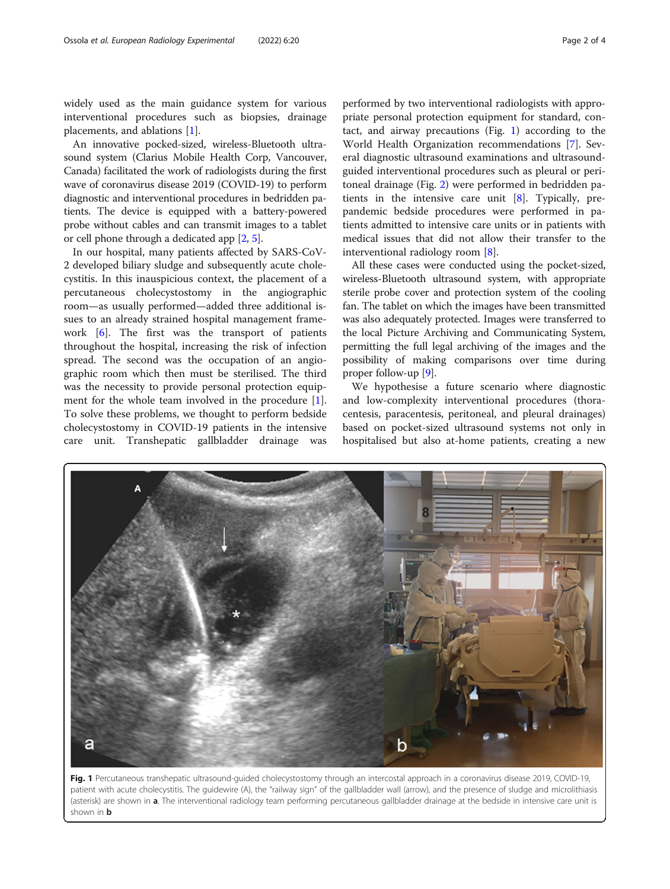widely used as the main guidance system for various interventional procedures such as biopsies, drainage placements, and ablations [\[1](#page-3-0)].

An innovative pocked-sized, wireless-Bluetooth ultrasound system (Clarius Mobile Health Corp, Vancouver, Canada) facilitated the work of radiologists during the first wave of coronavirus disease 2019 (COVID-19) to perform diagnostic and interventional procedures in bedridden patients. The device is equipped with a battery-powered probe without cables and can transmit images to a tablet or cell phone through a dedicated app [\[2](#page-3-0), [5\]](#page-3-0).

In our hospital, many patients affected by SARS-CoV-2 developed biliary sludge and subsequently acute cholecystitis. In this inauspicious context, the placement of a percutaneous cholecystostomy in the angiographic room—as usually performed—added three additional issues to an already strained hospital management framework  $[6]$  $[6]$ . The first was the transport of patients throughout the hospital, increasing the risk of infection spread. The second was the occupation of an angiographic room which then must be sterilised. The third was the necessity to provide personal protection equip-ment for the whole team involved in the procedure [\[1](#page-3-0)]. To solve these problems, we thought to perform bedside cholecystostomy in COVID-19 patients in the intensive care unit. Transhepatic gallbladder drainage was

performed by two interventional radiologists with appropriate personal protection equipment for standard, contact, and airway precautions (Fig. 1) according to the World Health Organization recommendations [\[7](#page-3-0)]. Several diagnostic ultrasound examinations and ultrasoundguided interventional procedures such as pleural or peritoneal drainage (Fig. [2](#page-2-0)) were performed in bedridden patients in the intensive care unit [\[8](#page-3-0)]. Typically, prepandemic bedside procedures were performed in patients admitted to intensive care units or in patients with medical issues that did not allow their transfer to the interventional radiology room [\[8](#page-3-0)].

All these cases were conducted using the pocket-sized, wireless-Bluetooth ultrasound system, with appropriate sterile probe cover and protection system of the cooling fan. The tablet on which the images have been transmitted was also adequately protected. Images were transferred to the local Picture Archiving and Communicating System, permitting the full legal archiving of the images and the possibility of making comparisons over time during proper follow-up [\[9](#page-3-0)].

We hypothesise a future scenario where diagnostic and low-complexity interventional procedures (thoracentesis, paracentesis, peritoneal, and pleural drainages) based on pocket-sized ultrasound systems not only in hospitalised but also at-home patients, creating a new



Fig. 1 Percutaneous transhepatic ultrasound-guided cholecystostomy through an intercostal approach in a coronavirus disease 2019, COVID-19, patient with acute cholecystitis. The guidewire (A), the "railway sign" of the gallbladder wall (arrow), and the presence of sludge and microlithiasis (asterisk) are shown in a. The interventional radiology team performing percutaneous gallbladder drainage at the bedside in intensive care unit is shown in **b**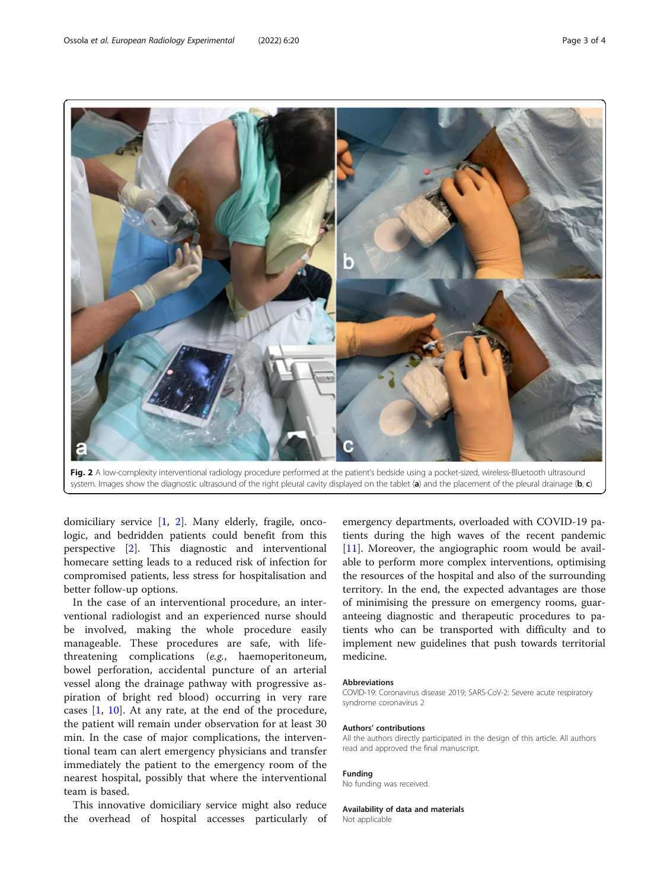<span id="page-2-0"></span>

Fig. 2 A low-complexity interventional radiology procedure performed at the patient's bedside using a pocket-sized, wireless-Bluetooth ultrasound system. Images show the diagnostic ultrasound of the right pleural cavity displayed on the tablet (a) and the placement of the pleural drainage (b, c)

domiciliary service [[1,](#page-3-0) [2\]](#page-3-0). Many elderly, fragile, oncologic, and bedridden patients could benefit from this perspective [\[2](#page-3-0)]. This diagnostic and interventional homecare setting leads to a reduced risk of infection for compromised patients, less stress for hospitalisation and better follow-up options.

In the case of an interventional procedure, an interventional radiologist and an experienced nurse should be involved, making the whole procedure easily manageable. These procedures are safe, with lifethreatening complications (e.g., haemoperitoneum, bowel perforation, accidental puncture of an arterial vessel along the drainage pathway with progressive aspiration of bright red blood) occurring in very rare cases [[1,](#page-3-0) [10\]](#page-3-0). At any rate, at the end of the procedure, the patient will remain under observation for at least 30 min. In the case of major complications, the interventional team can alert emergency physicians and transfer immediately the patient to the emergency room of the nearest hospital, possibly that where the interventional team is based.

This innovative domiciliary service might also reduce the overhead of hospital accesses particularly of emergency departments, overloaded with COVID-19 patients during the high waves of the recent pandemic [[11\]](#page-3-0). Moreover, the angiographic room would be available to perform more complex interventions, optimising the resources of the hospital and also of the surrounding territory. In the end, the expected advantages are those of minimising the pressure on emergency rooms, guaranteeing diagnostic and therapeutic procedures to patients who can be transported with difficulty and to implement new guidelines that push towards territorial medicine.

#### Abbreviations

COVID-19: Coronavirus disease 2019; SARS-CoV-2: Severe acute respiratory syndrome coronavirus 2

#### Authors' contributions

All the authors directly participated in the design of this article. All authors read and approved the final manuscript.

#### Funding

No funding was received.

### Availability of data and materials

Not applicable